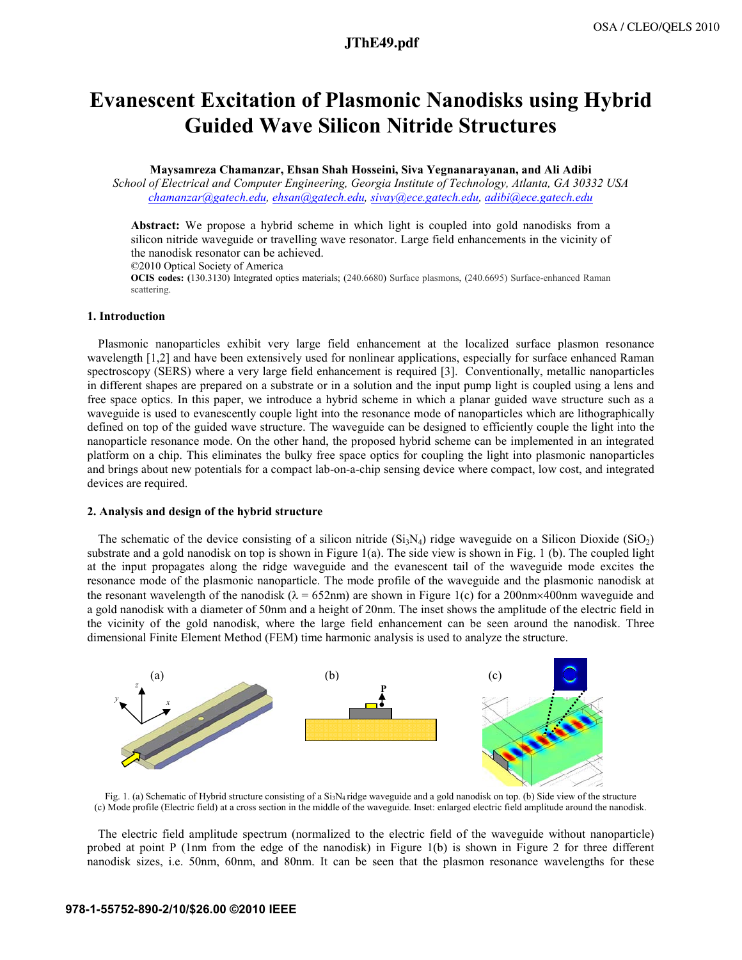# **a2194\_1.pdf JThE49.pdf**

# Evanescent Excitation of Plasmonic Nanodisks using Hybrid Guided Wave Silicon Nitride Structures

## Maysamreza Chamanzar, Ehsan Shah Hosseini, Siva Yegnanarayanan, and Ali Adibi

School of Electrical and Computer Engineering, Georgia Institute of Technology, Atlanta, GA 30332 USA chamanzar@gatech.edu, ehsan@gatech.edu, sivay@ece.gatech.edu, adibi@ece.gatech.edu

Abstract: We propose a hybrid scheme in which light is coupled into gold nanodisks from a silicon nitride waveguide or travelling wave resonator. Large field enhancements in the vicinity of the nanodisk resonator can be achieved.

©2010 Optical Society of America

OCIS codes: (130.3130) Integrated optics materials; (240.6680) Surface plasmons, (240.6695) Surface-enhanced Raman scattering.

## 1. Introduction

Plasmonic nanoparticles exhibit very large field enhancement at the localized surface plasmon resonance wavelength [1,2] and have been extensively used for nonlinear applications, especially for surface enhanced Raman spectroscopy (SERS) where a very large field enhancement is required [3]. Conventionally, metallic nanoparticles in different shapes are prepared on a substrate or in a solution and the input pump light is coupled using a lens and free space optics. In this paper, we introduce a hybrid scheme in which a planar guided wave structure such as a waveguide is used to evanescently couple light into the resonance mode of nanoparticles which are lithographically defined on top of the guided wave structure. The waveguide can be designed to efficiently couple the light into the nanoparticle resonance mode. On the other hand, the proposed hybrid scheme can be implemented in an integrated platform on a chip. This eliminates the bulky free space optics for coupling the light into plasmonic nanoparticles and brings about new potentials for a compact lab-on-a-chip sensing device where compact, low cost, and integrated devices are required.

## 2. Analysis and design of the hybrid structure

The schematic of the device consisting of a silicon nitride  $(S_iN_4)$  ridge waveguide on a Silicon Dioxide  $(S_iO_2)$ substrate and a gold nanodisk on top is shown in Figure 1(a). The side view is shown in Fig. 1 (b). The coupled light at the input propagates along the ridge waveguide and the evanescent tail of the waveguide mode excites the resonance mode of the plasmonic nanoparticle. The mode profile of the waveguide and the plasmonic nanodisk at the resonant wavelength of the nanodisk ( $\lambda = 652$ nm) are shown in Figure 1(c) for a 200nm×400nm waveguide and a gold nanodisk with a diameter of 50nm and a height of 20nm. The inset shows the amplitude of the electric field in the vicinity of the gold nanodisk, where the large field enhancement can be seen around the nanodisk. Three dimensional Finite Element Method (FEM) time harmonic analysis is used to analyze the structure.



Fig. 1. (a) Schematic of Hybrid structure consisting of a  $Si<sub>3</sub>N<sub>4</sub>$  ridge waveguide and a gold nanodisk on top. (b) Side view of the structure (c) Mode profile (Electric field) at a cross section in the middle of the waveguide. Inset: enlarged electric field amplitude around the nanodisk.

The electric field amplitude spectrum (normalized to the electric field of the waveguide without nanoparticle) probed at point P (1nm from the edge of the nanodisk) in Figure 1(b) is shown in Figure 2 for three different nanodisk sizes, i.e. 50nm, 60nm, and 80nm. It can be seen that the plasmon resonance wavelengths for these